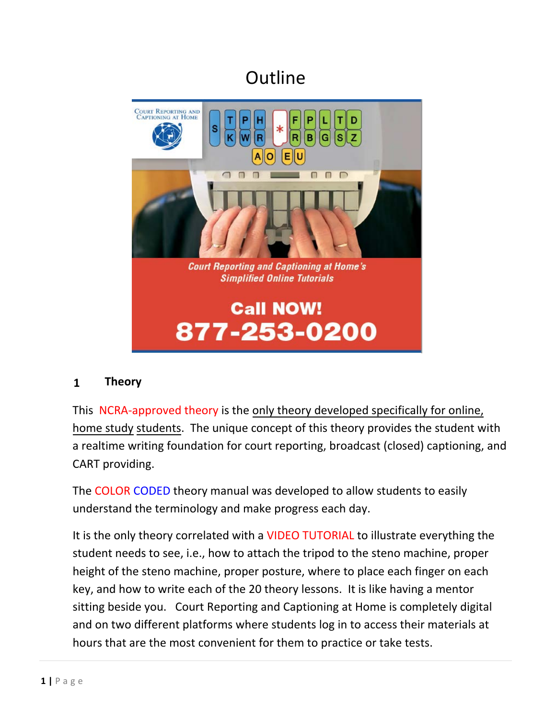# **Outline**



#### **1 Theory**

This NCRA-approved theory is the only theory developed specifically for online, home study students. The unique concept of this theory provides the student with a realtime writing foundation for court reporting, broadcast (closed) captioning, and CART providing.

The COLOR CODED theory manual was developed to allow students to easily understand the terminology and make progress each day.

 and on two different platforms where students log in to access their materials at It is the only theory correlated with a VIDEO TUTORIAL to illustrate everything the student needs to see, i.e., how to attach the tripod to the steno machine, proper height of the steno machine, proper posture, where to place each finger on each key, and how to write each of the 20 theory lessons. It is like having a mentor sitting beside you. Court Reporting and Captioning at Home is completely digital hours that are the most convenient for them to practice or take tests.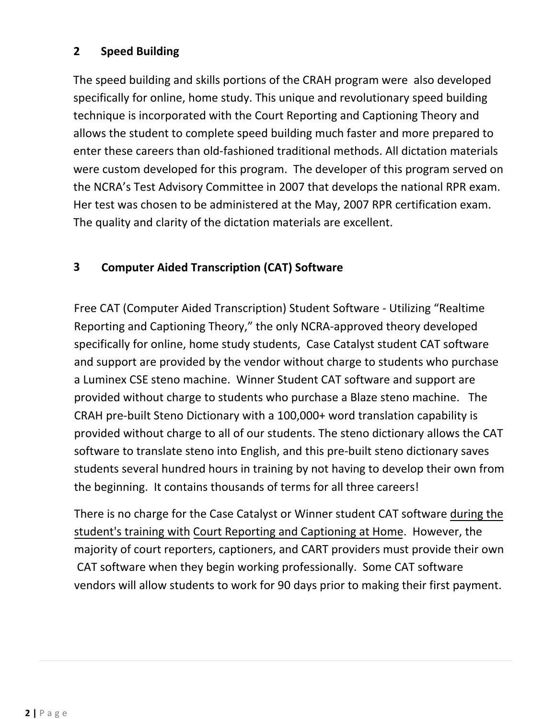# **2 Speed Building**

 allows the student to complete speed building much faster and more prepared to enter these careers than old‐fashioned traditional methods. All dictation materials The speed building and skills portions of the CRAH program were also developed specifically for online, home study. This unique and revolutionary speed building technique is incorporated with the Court Reporting and Captioning Theory and were custom developed for this program. The developer of this program served on the NCRA's Test Advisory Committee in 2007 that develops the national RPR exam. Her test was chosen to be administered at the May, 2007 RPR certification exam. The quality and clarity of the dictation materials are excellent.

## **3 Computer Aided Transcription (CAT) Software**

Free CAT (Computer Aided Transcription) Student Software ‐ Utilizing "Realtime Reporting and Captioning Theory," the only NCRA‐approved theory developed specifically for online, home study students, Case Catalyst student CAT software and support are provided by the vendor without charge to students who purchase a Luminex CSE steno machine. Winner Student CAT software and support are provided without charge to students who purchase a Blaze steno machine. The CRAH pre-built Steno Dictionary with a 100,000+ word translation capability is provided without charge to all of our students. The steno dictionary allows the CAT software to translate steno into English, and this pre-built steno dictionary saves students several hundred hours in training by not having to develop their own from the beginning. It contains thousands of terms for all three careers!

student's training with Court Reporting and Captioning at Home. However, the majority of court reporters, captioners, and CART providers must provide their own There is no charge for the Case Catalyst or Winner student CAT software during the CAT software when they begin working professionally. Some CAT software vendors will allow students to work for 90 days prior to making their first payment.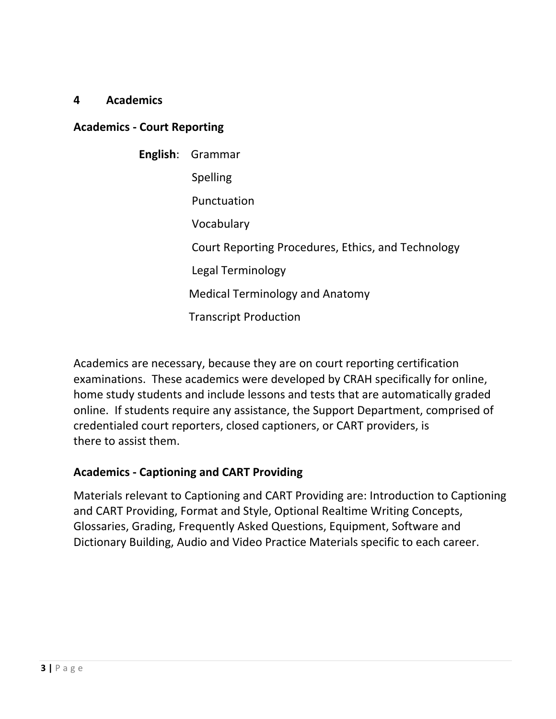#### **4 Academics**

#### **Academics ‐ Court Reporting**

| <b>English</b> : Grammar                           |
|----------------------------------------------------|
| <b>Spelling</b>                                    |
| Punctuation                                        |
| Vocabulary                                         |
| Court Reporting Procedures, Ethics, and Technology |
| Legal Terminology                                  |
| <b>Medical Terminology and Anatomy</b>             |
| <b>Transcript Production</b>                       |

Academics are necessary, because they are on court reporting certification examinations. These academics were developed by CRAH specifically for online, home study students and include lessons and tests that are automatically graded online. If students require any assistance, the Support Department, comprised of credentialed court reporters, closed captioners, or CART providers, is there to assist them.

#### **Academics ‐ Captioning and CART Providing**

 Glossaries, Grading, Frequently Asked Questions, Equipment, Software and Materials relevant to Captioning and CART Providing are: Introduction to Captioning and CART Providing, Format and Style, Optional Realtime Writing Concepts, Dictionary Building, Audio and Video Practice Materials specific to each career.